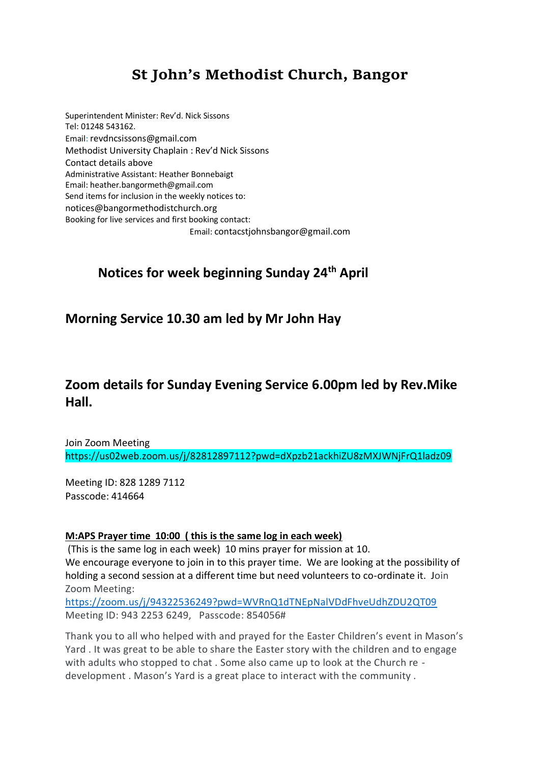# **St John's Methodist Church, Bangor**

Superintendent Minister: Rev'd. Nick Sissons Tel: 01248 543162. Email: [revdncsissons@gmail.com](mailto:revdncsissons@gmail.com) Methodist University Chaplain : Rev'd Nick Sissons Contact details above Administrative Assistant: Heather Bonnebaigt Email: heather.bangormeth@gmail.com Send items for inclusion in the weekly notices to: [notices@bangormethodistchurch.org](mailto:notices@bangormethodistchurch.org) Booking for live services and first booking contact: Email: [contacstjohnsbangor@gmail.com](mailto:contacstjohnsbangor@gmail.com)

## **Notices for week beginning Sunday 24th April**

### **Morning Service 10.30 am led by Mr John Hay**

### **Zoom details for Sunday Evening Service 6.00pm led by Rev.Mike Hall.**

Join Zoom Meeting https://us02web.zoom.us/j/82812897112?pwd=dXpzb21ackhiZU8zMXJWNjFrQ1ladz09

Meeting ID: 828 1289 7112 Passcode: 414664

#### **M:APS Prayer time 10:00 ( this is the same log in each week)**

(This is the same log in each week) 10 mins prayer for mission at 10. We encourage everyone to join in to this prayer time. We are looking at the possibility of holding a second session at a different time but need volunteers to co-ordinate it. Join Zoom Meeting:

<https://zoom.us/j/94322536249?pwd=WVRnQ1dTNEpNalVDdFhveUdhZDU2QT09> Meeting ID: 943 2253 6249, Passcode: 854056#

Thank you to all who helped with and prayed for the Easter Children's event in Mason's Yard . It was great to be able to share the Easter story with the children and to engage with adults who stopped to chat . Some also came up to look at the Church re development . Mason's Yard is a great place to interact with the community .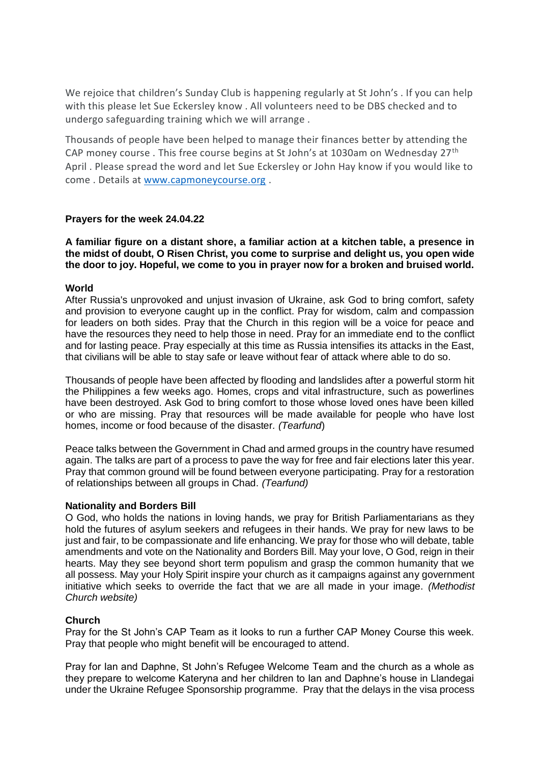We rejoice that children's Sunday Club is happening regularly at St John's . If you can help with this please let Sue Eckersley know . All volunteers need to be DBS checked and to undergo safeguarding training which we will arrange .

Thousands of people have been helped to manage their finances better by attending the CAP money course. This free course begins at St John's at 1030am on Wednesday 27<sup>th</sup> April . Please spread the word and let Sue Eckersley or John Hay know if you would like to come . Details at [www.capmoneycourse.org](http://www.capmoneycourse.org/) .

#### **Prayers for the week 24.04.22**

**A familiar figure on a distant shore, a familiar action at a kitchen table, a presence in the midst of doubt, O Risen Christ, you come to surprise and delight us, you open wide the door to joy. Hopeful, we come to you in prayer now for a broken and bruised world.**

#### **World**

After Russia's unprovoked and unjust invasion of Ukraine, ask God to bring comfort, safety and provision to everyone caught up in the conflict. Pray for wisdom, calm and compassion for leaders on both sides. Pray that the Church in this region will be a voice for peace and have the resources they need to help those in need. Pray for an immediate end to the conflict and for lasting peace. Pray especially at this time as Russia intensifies its attacks in the East, that civilians will be able to stay safe or leave without fear of attack where able to do so.

Thousands of people have been affected by flooding and landslides after a powerful storm hit the Philippines a few weeks ago. Homes, crops and vital infrastructure, such as powerlines have been destroyed. Ask God to bring comfort to those whose loved ones have been killed or who are missing. Pray that resources will be made available for people who have lost homes, income or food because of the disaster*. (Tearfund*)

Peace talks between the Government in Chad and armed groups in the country have resumed again. The talks are part of a process to pave the way for free and fair elections later this year. Pray that common ground will be found between everyone participating. Pray for a restoration of relationships between all groups in Chad. *(Tearfund)*

#### **Nationality and Borders Bill**

O God, who holds the nations in loving hands, we pray for British Parliamentarians as they hold the futures of asylum seekers and refugees in their hands. We pray for new laws to be just and fair, to be compassionate and life enhancing. We pray for those who will debate, table amendments and vote on the Nationality and Borders Bill. May your love, O God, reign in their hearts. May they see beyond short term populism and grasp the common humanity that we all possess. May your Holy Spirit inspire your church as it campaigns against any government initiative which seeks to override the fact that we are all made in your image. *(Methodist Church website)*

#### **Church**

Pray for the St John's CAP Team as it looks to run a further CAP Money Course this week. Pray that people who might benefit will be encouraged to attend.

Pray for Ian and Daphne, St John's Refugee Welcome Team and the church as a whole as they prepare to welcome Kateryna and her children to Ian and Daphne's house in Llandegai under the Ukraine Refugee Sponsorship programme. Pray that the delays in the visa process